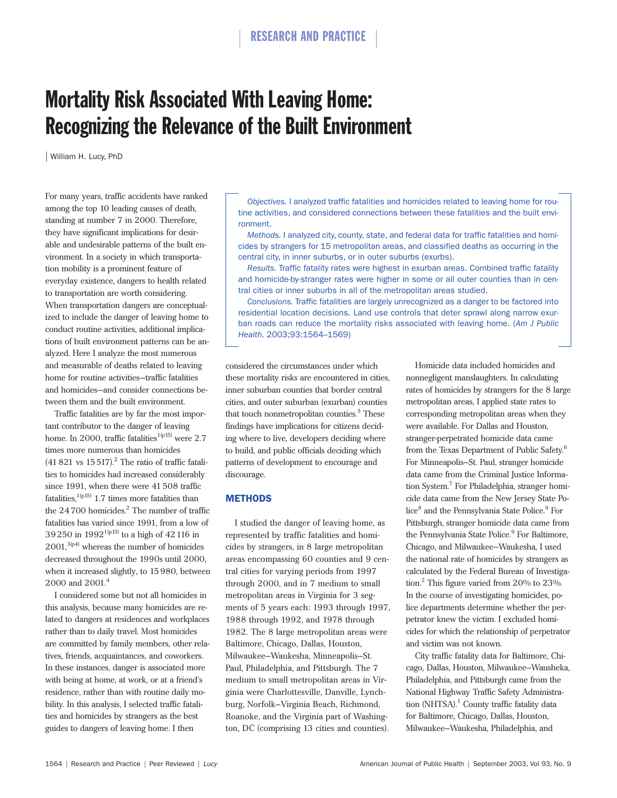# Mortality Risk Associated With Leaving Home: Recognizing the Relevance of the Built Environment

| William H. Lucy, PhD

For many years, traffic accidents have ranked among the top 10 leading causes of death, standing at number 7 in 2000. Therefore, they have significant implications for desirable and undesirable patterns of the built environment. In a society in which transportation mobility is a prominent feature of everyday existence, dangers to health related to transportation are worth considering. When transportation dangers are conceptualized to include the danger of leaving home to conduct routine activities, additional implications of built environment patterns can be analyzed. Here I analyze the most numerous and measurable of deaths related to leaving home for routine activities—traffic fatalities and homicides—and consider connections between them and the built environment.

Traffic fatalities are by far the most important contributor to the danger of leaving home. In 2000, traffic fatalities<sup>1(p15)</sup> were 2.7 times more numerous than homicides  $(41821 \text{ vs } 15517)^2$  The ratio of traffic fatalities to homicides had increased considerably since 1991, when there were 41508 traffic fatalities,  $1(p15)$  1.7 times more fatalities than the  $24700$  homicides.<sup>2</sup> The number of traffic fatalities has varied since 1991, from a low of 39250 in  $1992^{1(p15)}$  to a high of 42116 in  $2001$ ,<sup>3(p4)</sup> whereas the number of homicides decreased throughout the 1990s until 2000, when it increased slightly, to 15980, between 2000 and 2001.<sup>4</sup>

I considered some but not all homicides in this analysis, because many homicides are related to dangers at residences and workplaces rather than to daily travel. Most homicides are committed by family members, other relatives, friends, acquaintances, and coworkers. In these instances, danger is associated more with being at home, at work, or at a friend's residence, rather than with routine daily mobility. In this analysis, I selected traffic fatalities and homicides by strangers as the best guides to dangers of leaving home. I then

*Objectives.* I analyzed traffic fatalities and homicides related to leaving home for routine activities, and considered connections between these fatalities and the built environment.

*Methods.* I analyzed city, county, state, and federal data for traffic fatalities and homicides by strangers for 15 metropolitan areas, and classified deaths as occurring in the central city, in inner suburbs, or in outer suburbs (exurbs).

*Results.* Traffic fatality rates were highest in exurban areas. Combined traffic fatality and homicide-by-stranger rates were higher in some or all outer counties than in central cities or inner suburbs in all of the metropolitan areas studied.

*Conclusions.* Traffic fatalities are largely unrecognized as a danger to be factored into residential location decisions. Land use controls that deter sprawl along narrow exurban roads can reduce the mortality risks associated with leaving home. (*Am J Public Health.* 2003;93:1564–1569)

considered the circumstances under which these mortality risks are encountered in cities, inner suburban counties that border central cities, and outer suburban (exurban) counties that touch nonmetropolitan counties.<sup>5</sup> These findings have implications for citizens deciding where to live, developers deciding where to build, and public officials deciding which patterns of development to encourage and discourage.

# **METHODS**

I studied the danger of leaving home, as represented by traffic fatalities and homicides by strangers, in 8 large metropolitan areas encompassing 60 counties and 9 central cities for varying periods from 1997 through 2000, and in 7 medium to small metropolitan areas in Virginia for 3 segments of 5 years each: 1993 through 1997, 1988 through 1992, and 1978 through 1982. The 8 large metropolitan areas were Baltimore, Chicago, Dallas, Houston, Milwaukee–Waukesha, Minneapolis–St. Paul, Philadelphia, and Pittsburgh. The 7 medium to small metropolitan areas in Virginia were Charlottesville, Danville, Lynchburg, Norfolk–Virginia Beach, Richmond, Roanoke, and the Virginia part of Washington, DC (comprising 13 cities and counties).

Homicide data included homicides and nonnegligent manslaughters. In calculating rates of homicides by strangers for the 8 large metropolitan areas, I applied state rates to corresponding metropolitan areas when they were available. For Dallas and Houston, stranger-perpetrated homicide data came from the Texas Department of Public Safety.<sup>6</sup> For Minneapolis–St. Paul, stranger homicide data came from the Criminal Justice Information System.<sup>7</sup> For Philadelphia, stranger homicide data came from the New Jersey State Police<sup>8</sup> and the Pennsylvania State Police.<sup>9</sup> For Pittsburgh, stranger homicide data came from the Pennsylvania State Police.<sup>9</sup> For Baltimore, Chicago, and Milwaukee–Waukesha, I used the national rate of homicides by strangers as calculated by the Federal Bureau of Investigation.<sup>2</sup> This figure varied from 20% to 23%. In the course of investigating homicides, police departments determine whether the perpetrator knew the victim. I excluded homicides for which the relationship of perpetrator and victim was not known.

City traffic fatality data for Baltimore, Chicago, Dallas, Houston, Milwaukee–Wausheka, Philadelphia, and Pittsburgh came from the National Highway Traffic Safety Administration (NHTSA).<sup>1</sup> County traffic fatality data for Baltimore, Chicago, Dallas, Houston, Milwaukee–Waukesha, Philadelphia, and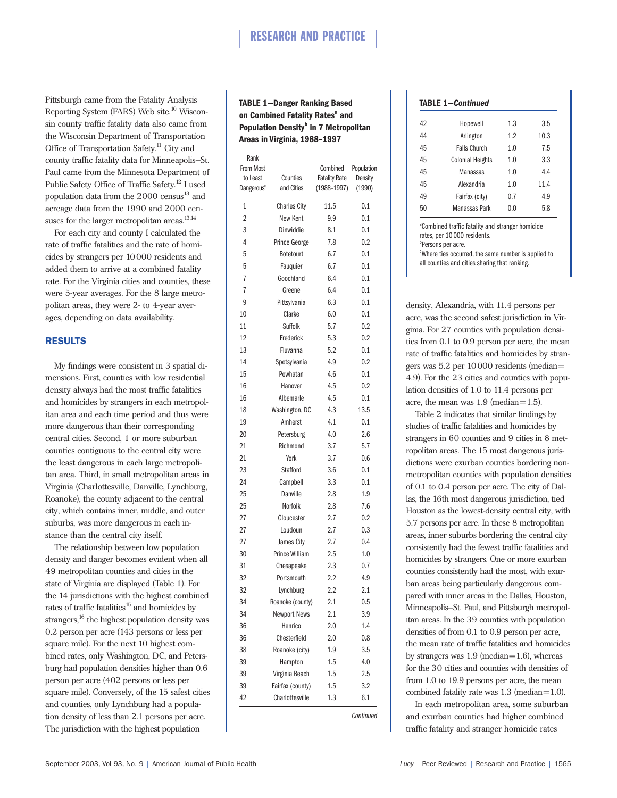Pittsburgh came from the Fatality Analysis Reporting System (FARS) Web site.<sup>10</sup> Wisconsin county traffic fatality data also came from the Wisconsin Department of Transportation Office of Transportation Safety.<sup>11</sup> City and county traffic fatality data for Minneapolis–St. Paul came from the Minnesota Department of Public Safety Office of Traffic Safety.<sup>12</sup> I used population data from the  $2000$  census<sup>13</sup> and acreage data from the 1990 and 2000 censuses for the larger metropolitan areas. $^{13,14}$ 

For each city and county I calculated the rate of traffic fatalities and the rate of homicides by strangers per 10000 residents and added them to arrive at a combined fatality rate. For the Virginia cities and counties, these were 5-year averages. For the 8 large metropolitan areas, they were 2- to 4-year averages, depending on data availability.

### RESULTS

My findings were consistent in 3 spatial dimensions. First, counties with low residential density always had the most traffic fatalities and homicides by strangers in each metropolitan area and each time period and thus were more dangerous than their corresponding central cities. Second, 1 or more suburban counties contiguous to the central city were the least dangerous in each large metropolitan area. Third, in small metropolitan areas in Virginia (Charlottesville, Danville, Lynchburg, Roanoke), the county adjacent to the central city, which contains inner, middle, and outer suburbs, was more dangerous in each instance than the central city itself.

The relationship between low population density and danger becomes evident when all 49 metropolitan counties and cities in the state of Virginia are displayed (Table 1). For the 14 jurisdictions with the highest combined rates of traffic fatalities<sup>15</sup> and homicides by strangers,<sup>16</sup> the highest population density was 0.2 person per acre (143 persons or less per square mile). For the next 10 highest combined rates, only Washington, DC, and Petersburg had population densities higher than 0.6 person per acre (402 persons or less per square mile). Conversely, of the 15 safest cities and counties, only Lynchburg had a population density of less than 2.1 persons per acre. The jurisdiction with the highest population

# **TABLE 1—Danger Ranking Based on Combined Fatality Rates<sup>a</sup> and Population Density<sup>b</sup> in 7 Metropolitan Areas in Virginia, 1988–1997**

| <b>From Most</b><br>to Least<br>Dangerous <sup>c</sup> | Counties<br>and Cities | Combined<br><b>Fatality Rate</b><br>$(1988 - 1997)$ | Population<br>Density<br>(1990) |
|--------------------------------------------------------|------------------------|-----------------------------------------------------|---------------------------------|
| $\mathbf{1}$                                           | <b>Charles City</b>    | 11.5                                                | 0.1                             |
| $\overline{2}$                                         | New Kent               | 9.9                                                 | 0.1                             |
| 3                                                      | Dinwiddie              | 8.1                                                 | 0.1                             |
| 4                                                      | Prince George          | 7.8                                                 | 0.2                             |
| 5                                                      | Botetourt              | 6.7                                                 | 0.1                             |
| 5                                                      | Fauguier               | 6.7                                                 | 0.1                             |
| 7                                                      | Goochland              | 6.4                                                 | 0.1                             |
| 7                                                      | Greene                 | 6.4                                                 | 0.1                             |
| 9                                                      | Pittsylvania           | 6.3                                                 | 0.1                             |
| 10                                                     | Clarke                 | 6.0                                                 | 0.1                             |
| 11                                                     | Suffolk                | 5.7                                                 | 0.2                             |
| 12                                                     | Frederick              | 5.3                                                 | 0.2                             |
| 13                                                     | Fluvanna               | 5.2                                                 | 0.1                             |
| 14                                                     | Spotsylvania           | 4.9                                                 | 0.2                             |
| 15                                                     | Powhatan               | 4.6                                                 | 0.1                             |
| 16                                                     | Hanover                | 4.5                                                 | 0.2                             |
| 16                                                     | Albemarle              | 4.5                                                 | 0.1                             |
| 18                                                     | Washington, DC         | 4.3                                                 | 13.5                            |
| 19                                                     | Amherst                | 4.1                                                 | 0.1                             |
| 20                                                     | Petersburg             | 4.0                                                 | 2.6                             |
| 21                                                     | Richmond               | 3.7                                                 | 5.7                             |
| 21                                                     | York                   | 3.7                                                 | 0.6                             |
| 23                                                     | <b>Stafford</b>        | 3.6                                                 | 0.1                             |
| 24                                                     | Campbell               | 3.3                                                 | 0.1                             |
| 25                                                     | Danville               | 2.8                                                 | 1.9                             |
| 25                                                     | Norfolk                | 2.8                                                 | 7.6                             |
| 27                                                     | Gloucester             | 2.7                                                 | 0.2                             |
| 27                                                     | Loudoun                | 2.7                                                 | 0.3                             |
| 27                                                     | James City             | 2.7                                                 | 0.4                             |
| 30                                                     | Prince William         | 2.5                                                 | 1.0                             |
| 31                                                     | Chesapeake             | 2.3                                                 | 0.7                             |
| 32                                                     | Portsmouth             | $2.2\,$                                             | 4.9                             |
| 32                                                     | Lynchburg              | 2.2                                                 | 2.1                             |
| 34                                                     | Roanoke (county)       | 2.1                                                 | 0.5                             |
| 34                                                     | <b>Newport News</b>    | 2.1                                                 | 3.9                             |
| 36                                                     | Henrico                | 2.0                                                 | 1.4                             |
| 36                                                     | Chesterfield           | 2.0                                                 | 0.8                             |
| 38                                                     | Roanoke (city)         | 1.9                                                 | 3.5                             |
| 39                                                     | Hampton                | 1.5                                                 | 4.0                             |
| 39                                                     | Virginia Beach         | 1.5                                                 | 2.5                             |
| 39                                                     | Fairfax (county)       | 1.5                                                 | 3.2                             |
| 42                                                     | Charlottesville        | 1.3                                                 | 6.1                             |

| <b>TABLE 1-Continued</b> |                         |     |      |  |  |  |
|--------------------------|-------------------------|-----|------|--|--|--|
| 42                       | Hopewell                | 1.3 | 3.5  |  |  |  |
| 44                       | Arlington               | 1.2 | 10.3 |  |  |  |
| 45                       | <b>Falls Church</b>     | 1.0 | 7.5  |  |  |  |
| 45                       | <b>Colonial Heights</b> | 1.0 | 3.3  |  |  |  |
| 45                       | Manassas                | 1.0 | 4.4  |  |  |  |
| 45                       | Alexandria              | 1.0 | 11.4 |  |  |  |
| 49                       | Fairfax (city)          | 0.7 | 4.9  |  |  |  |
| 50                       | Manassas Park           | 0.0 | 5.8  |  |  |  |

<sup>a</sup>Combined traffic fatality and stranger homicide rates, per 10 000 residents. *b* Persons per acre. <sup>c</sup>Where ties occurred, the same number is applied to all counties and cities sharing that ranking.

density, Alexandria, with 11.4 persons per acre, was the second safest jurisdiction in Virginia. For 27 counties with population densities from 0.1 to 0.9 person per acre, the mean rate of traffic fatalities and homicides by strangers was 5.2 per 10000 residents (median= 4.9). For the 23 cities and counties with population densities of 1.0 to 11.4 persons per acre, the mean was 1.9 (median=1.5).

Table 2 indicates that similar findings by studies of traffic fatalities and homicides by strangers in 60 counties and 9 cities in 8 metropolitan areas. The 15 most dangerous jurisdictions were exurban counties bordering nonmetropolitan counties with population densities of 0.1 to 0.4 person per acre. The city of Dallas, the 16th most dangerous jurisdiction, tied Houston as the lowest-density central city, with 5.7 persons per acre. In these 8 metropolitan areas, inner suburbs bordering the central city consistently had the fewest traffic fatalities and homicides by strangers. One or more exurban counties consistently had the most, with exurban areas being particularly dangerous compared with inner areas in the Dallas, Houston, Minneapolis–St. Paul, and Pittsburgh metropolitan areas. In the 39 counties with population densities of from 0.1 to 0.9 person per acre, the mean rate of traffic fatalities and homicides by strangers was 1.9 (median=1.6), whereas for the 30 cities and counties with densities of from 1.0 to 19.9 persons per acre, the mean combined fatality rate was 1.3 (median=1.0).

In each metropolitan area, some suburban and exurban counties had higher combined traffic fatality and stranger homicide rates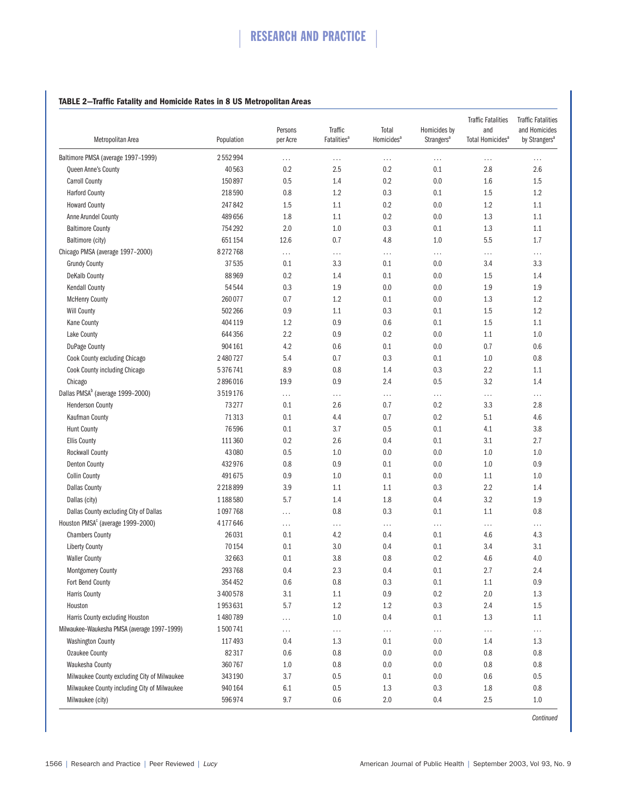# **TABLE 2—Traffic Fatality and Homicide Rates in 8 US Metropolitan Areas**

| Metropolitan Area                             | Population | Persons<br>per Acre | Traffic<br>Fatalities <sup>a</sup> | Total<br>Homicides <sup>a</sup> | Homicides by<br>Strangers <sup>a</sup> | <b>Traffic Fatalities</b><br>and<br>Total Homicides <sup>a</sup> | <b>Traffic Fatalities</b><br>and Homicides<br>by Strangers <sup>a</sup> |
|-----------------------------------------------|------------|---------------------|------------------------------------|---------------------------------|----------------------------------------|------------------------------------------------------------------|-------------------------------------------------------------------------|
|                                               |            |                     |                                    |                                 |                                        |                                                                  |                                                                         |
| Baltimore PMSA (average 1997-1999)            | 2552994    | $\cdots$            | $\cdots$                           | .                               | $\cdots$                               | $\cdots$                                                         | .                                                                       |
| Queen Anne's County                           | 40563      | 0.2                 | 2.5                                | 0.2                             | 0.1                                    | 2.8                                                              | 2.6                                                                     |
| <b>Carroll County</b>                         | 150897     | 0.5                 | 1.4                                | 0.2                             | 0.0                                    | 1.6                                                              | 1.5                                                                     |
| <b>Harford County</b>                         | 218590     | 0.8                 | 1.2                                | 0.3                             | 0.1                                    | 1.5                                                              | 1.2                                                                     |
| <b>Howard County</b>                          | 247842     | 1.5                 | 1.1                                | 0.2                             | 0.0                                    | 1.2                                                              | 1.1                                                                     |
| Anne Arundel County                           | 489 656    | 1.8                 | 1.1                                | 0.2                             | 0.0                                    | 1.3                                                              | 1.1                                                                     |
| <b>Baltimore County</b>                       | 754 292    | 2.0                 | 1.0                                | 0.3                             | 0.1                                    | 1.3                                                              | 1.1                                                                     |
| Baltimore (city)                              | 651 154    | 12.6                | 0.7                                | 4.8                             | 1.0                                    | 5.5                                                              | $1.7\,$                                                                 |
| Chicago PMSA (average 1997-2000)              | 8272768    | $\cdots$            | $\cdots$                           | .                               | $\cdots$                               | $\cdots$                                                         | $\cdots$                                                                |
| <b>Grundy County</b>                          | 37535      | 0.1                 | 3.3                                | 0.1                             | 0.0                                    | 3.4                                                              | 3.3                                                                     |
| <b>DeKalb County</b>                          | 88969      | 0.2                 | 1.4                                | 0.1                             | 0.0                                    | 1.5                                                              | 1.4                                                                     |
| <b>Kendall County</b>                         | 54544      | 0.3                 | 1.9                                | 0.0                             | 0.0                                    | 1.9                                                              | 1.9                                                                     |
| <b>McHenry County</b>                         | 260077     | 0.7                 | 1.2                                | 0.1                             | 0.0                                    | 1.3                                                              | 1.2                                                                     |
| <b>Will County</b>                            | 502 266    | 0.9                 | 1.1                                | 0.3                             | 0.1                                    | 1.5                                                              | 1.2                                                                     |
| <b>Kane County</b>                            | 404 119    | 1.2                 | 0.9                                | 0.6                             | 0.1                                    | 1.5                                                              | 1.1                                                                     |
| Lake County                                   | 644 356    | 2.2                 | 0.9                                | 0.2                             | 0.0                                    | 1.1                                                              | 1.0                                                                     |
| <b>DuPage County</b>                          | 904 161    | 4.2                 | 0.6                                | 0.1                             | 0.0                                    | 0.7                                                              | $0.6\,$                                                                 |
| Cook County excluding Chicago                 | 2480727    | 5.4                 | 0.7                                | 0.3                             | 0.1                                    | 1.0                                                              | 0.8                                                                     |
| Cook County including Chicago                 | 5376741    | 8.9                 | 0.8                                | 1.4                             | 0.3                                    | 2.2                                                              | 1.1                                                                     |
| Chicago                                       | 2896016    | 19.9                | 0.9                                | 2.4                             | 0.5                                    | 3.2                                                              | 1.4                                                                     |
| Dallas PMSA <sup>b</sup> (average 1999-2000)  | 3519176    | $\ldots$            | .                                  | $\cdots$                        | $\ldots$                               | $\ldots$                                                         | $\cdots$                                                                |
| <b>Henderson County</b>                       | 73277      | 0.1                 | 2.6                                | 0.7                             | 0.2                                    | 3.3                                                              | 2.8                                                                     |
| Kaufman County                                | 71313      | 0.1                 | 4.4                                | 0.7                             | 0.2                                    | 5.1                                                              | 4.6                                                                     |
| <b>Hunt County</b>                            | 76596      | 0.1                 | 3.7                                | 0.5                             | 0.1                                    | 4.1                                                              | 3.8                                                                     |
| <b>Ellis County</b>                           | 111 360    | 0.2                 | 2.6                                | 0.4                             | 0.1                                    | 3.1                                                              | 2.7                                                                     |
| <b>Rockwall County</b>                        | 43080      | 0.5                 | 1.0                                | 0.0                             | 0.0                                    | 1.0                                                              | 1.0                                                                     |
| Denton County                                 | 432976     | 0.8                 | 0.9                                | 0.1                             | 0.0                                    | 1.0                                                              | $0.9\,$                                                                 |
| <b>Collin County</b>                          | 491675     | 0.9                 | 1.0                                | 0.1                             | 0.0                                    | $1.1\,$                                                          | 1.0                                                                     |
|                                               | 2218899    | 3.9                 | 1.1                                | 1.1                             | 0.3                                    | 2.2                                                              | 1.4                                                                     |
| <b>Dallas County</b>                          |            |                     |                                    |                                 |                                        |                                                                  |                                                                         |
| Dallas (city)                                 | 1188580    | 5.7                 | 1.4                                | 1.8                             | 0.4                                    | 3.2                                                              | 1.9                                                                     |
| Dallas County excluding City of Dallas        | 1097768    | $\cdots$            | 0.8                                | 0.3                             | 0.1                                    | 1.1                                                              | 0.8                                                                     |
| Houston PMSA <sup>c</sup> (average 1999-2000) | 4177646    | $\cdots$            | .                                  | .                               | .                                      | $\ldots$                                                         | .                                                                       |
| <b>Chambers County</b>                        | 26031      | 0.1                 | 4.2                                | 0.4                             | 0.1                                    | 4.6                                                              | 4.3                                                                     |
| <b>Liberty County</b>                         | 70154      | 0.1                 | 3.0                                | 0.4                             | 0.1                                    | 3.4                                                              | 3.1                                                                     |
| <b>Waller County</b>                          | 32 663     | 0.1                 | 3.8                                | 0.8                             | 0.2                                    | $4.6\,$                                                          | 4.0                                                                     |
| <b>Montgomery County</b>                      | 293768     | 0.4                 | 2.3                                | 0.4                             | 0.1                                    | 2.7                                                              | 2.4                                                                     |
| Fort Bend County                              | 354 452    | 0.6                 | $0.8\,$                            | 0.3                             | 0.1                                    | $1.1\,$                                                          | 0.9                                                                     |
| <b>Harris County</b>                          | 3400578    | 3.1                 | 1.1                                | 0.9                             | 0.2                                    | $2.0\,$                                                          | $1.3\,$                                                                 |
| Houston                                       | 1953631    | 5.7                 | $1.2\,$                            | 1.2                             | 0.3                                    | 2.4                                                              | 1.5                                                                     |
| Harris County excluding Houston               | 1480789    | $\ldots$            | 1.0                                | 0.4                             | 0.1                                    | 1.3                                                              | 1.1                                                                     |
| Milwaukee-Waukesha PMSA (average 1997-1999)   | 1500741    | $\cdots$            | $\ldots$                           | $\cdots$                        | $\cdots$                               | $\ldots$                                                         | $\ldots$                                                                |
| <b>Washington County</b>                      | 117493     | 0.4                 | 1.3                                | 0.1                             | 0.0                                    | 1.4                                                              | 1.3                                                                     |
| <b>Ozaukee County</b>                         | 82317      | 0.6                 | 0.8                                | 0.0                             | 0.0                                    | $0.8\,$                                                          | 0.8                                                                     |
| Waukesha County                               | 360767     | 1.0                 | 0.8                                | 0.0                             | 0.0                                    | $0.8\,$                                                          | 0.8                                                                     |
| Milwaukee County excluding City of Milwaukee  | 343190     | 3.7                 | 0.5                                | 0.1                             | 0.0                                    | 0.6                                                              | 0.5                                                                     |
| Milwaukee County including City of Milwaukee  | 940 164    | 6.1                 | 0.5                                | 1.3                             | 0.3                                    | $1.8\,$                                                          | 0.8                                                                     |
| Milwaukee (city)                              | 596974     | 9.7                 | 0.6                                | 2.0                             | 0.4                                    | 2.5                                                              | 1.0                                                                     |

*Continued*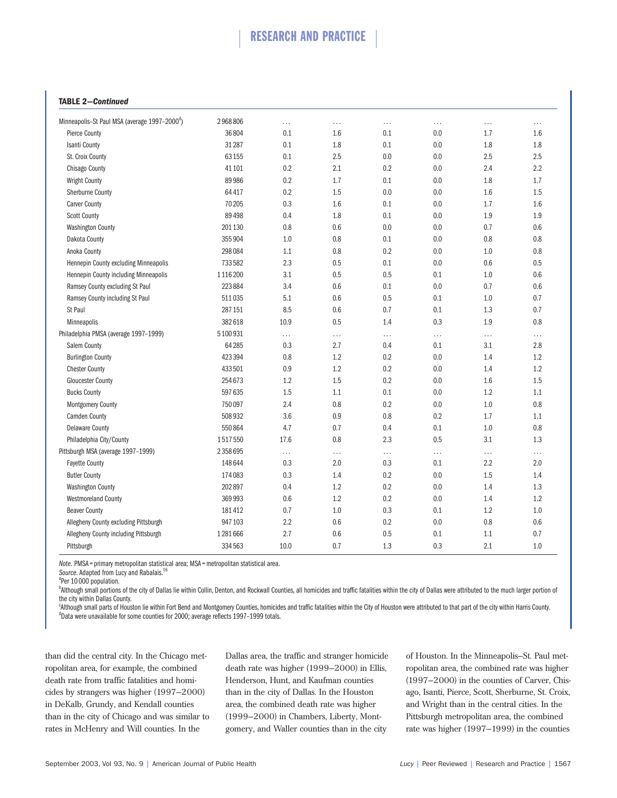# RESEARCH AND PRACTICE

#### **TABLE 2—***Continued*

| Minneapolis-St Paul MSA (average 1997-2000 <sup>d</sup> ) | 2968806 | $\cdots$ | $\cdots$ | .   | .   | .   | $\cdots$ |
|-----------------------------------------------------------|---------|----------|----------|-----|-----|-----|----------|
| <b>Pierce County</b>                                      | 36804   | 0.1      | 1.6      | 0.1 | 0.0 | 1.7 | 1.6      |
| Isanti County                                             | 31 287  | 0.1      | 1.8      | 0.1 | 0.0 | 1.8 | 1.8      |
| St. Croix County                                          | 63155   | 0.1      | 2.5      | 0.0 | 0.0 | 2.5 | 2.5      |
| Chisago County                                            | 41 101  | 0.2      | 2.1      | 0.2 | 0.0 | 2.4 | 2.2      |
| <b>Wright County</b>                                      | 89986   | 0.2      | 1.7      | 0.1 | 0.0 | 1.8 | 1.7      |
| <b>Sherburne County</b>                                   | 64417   | 0.2      | 1.5      | 0.0 | 0.0 | 1.6 | 1.5      |
| <b>Carver County</b>                                      | 70 205  | 0.3      | 1.6      | 0.1 | 0.0 | 1.7 | 1.6      |
| <b>Scott County</b>                                       | 89 4 98 | 0.4      | 1.8      | 0.1 | 0.0 | 1.9 | 1.9      |
| <b>Washington County</b>                                  | 201 130 | 0.8      | 0.6      | 0.0 | 0.0 | 0.7 | 0.6      |
| Dakota County                                             | 355904  | 1.0      | 0.8      | 0.1 | 0.0 | 0.8 | $0.8\,$  |
| Anoka County                                              | 298084  | 1.1      | 0.8      | 0.2 | 0.0 | 1.0 | 0.8      |
| Hennepin County excluding Minneapolis                     | 733582  | 2.3      | 0.5      | 0.1 | 0.0 | 0.6 | 0.5      |
| Hennepin County including Minneapolis                     | 1116200 | 3.1      | 0.5      | 0.5 | 0.1 | 1.0 | 0.6      |
| Ramsey County excluding St Paul                           | 223884  | 3.4      | 0.6      | 0.1 | 0.0 | 0.7 | 0.6      |
| Ramsey County including St Paul                           | 511035  | 5.1      | 0.6      | 0.5 | 0.1 | 1.0 | 0.7      |
| St Paul                                                   | 287 151 | 8.5      | 0.6      | 0.7 | 0.1 | 1.3 | 0.7      |
| Minneapolis                                               | 382618  | 10.9     | 0.5      | 1.4 | 0.3 | 1.9 | $0.8\,$  |
| Philadelphia PMSA (average 1997-1999)                     | 5100931 | $\cdots$ | $\cdots$ | .   | .   | .   | $\cdots$ |
| Salem County                                              | 64 28 5 | 0.3      | 2.7      | 0.4 | 0.1 | 3.1 | 2.8      |
| <b>Burlington County</b>                                  | 423394  | 0.8      | 1.2      | 0.2 | 0.0 | 1.4 | 1.2      |
| <b>Chester County</b>                                     | 433501  | 0.9      | $1.2\,$  | 0.2 | 0.0 | 1.4 | 1.2      |
| <b>Gloucester County</b>                                  | 254673  | 1.2      | 1.5      | 0.2 | 0.0 | 1.6 | $1.5\,$  |
| <b>Bucks County</b>                                       | 597635  | 1.5      | 1.1      | 0.1 | 0.0 | 1.2 | 1.1      |
| <b>Montgomery County</b>                                  | 750097  | 2.4      | 0.8      | 0.2 | 0.0 | 1.0 | 0.8      |
| <b>Camden County</b>                                      | 508932  | 3.6      | 0.9      | 0.8 | 0.2 | 1.7 | 1.1      |
| <b>Delaware County</b>                                    | 550864  | 4.7      | 0.7      | 0.4 | 0.1 | 1.0 | 0.8      |
| Philadelphia City/County                                  | 1517550 | 17.6     | 0.8      | 2.3 | 0.5 | 3.1 | 1.3      |
| Pittsburgh MSA (average 1997-1999)                        | 2358695 | $\cdots$ | $\cdots$ | .   | .   | .   | $\cdots$ |
| <b>Fayette County</b>                                     | 148644  | 0.3      | 2.0      | 0.3 | 0.1 | 2.2 | 2.0      |
| <b>Butler County</b>                                      | 174083  | 0.3      | 1.4      | 0.2 | 0.0 | 1.5 | 1.4      |
| <b>Washington County</b>                                  | 202897  | 0.4      | 1.2      | 0.2 | 0.0 | 1.4 | 1.3      |
| <b>Westmoreland County</b>                                | 369 993 | 0.6      | 1.2      | 0.2 | 0.0 | 1.4 | 1.2      |
| <b>Beaver County</b>                                      | 181412  | 0.7      | 1.0      | 0.3 | 0.1 | 1.2 | $1.0\,$  |
| Allegheny County excluding Pittsburgh                     | 947103  | 2.2      | 0.6      | 0.2 | 0.0 | 0.8 | 0.6      |
| Allegheny County including Pittsburgh                     | 1281666 | 2.7      | 0.6      | 0.5 | 0.1 | 1.1 | 0.7      |
| Pittsburgh                                                | 334563  | 10.0     | 0.7      | 1.3 | 0.3 | 2.1 | 1.0      |
|                                                           |         |          |          |     |     |     |          |

*Note.* PMSA = primary metropolitan statistical area; MSA = metropolitan statistical area.

<sup>a</sup>Per 10 000 population.

<sup>b</sup>Although small portions of the city of Dallas lie within Collin, Denton, and Rockwall Counties, all homicides and traffic fatalities within the city of Dallas were attributed to the much larger portion of the city within Dallas County.

<sup>c</sup>Although small parts of Houston lie within Fort Bend and Montgomery Counties, homicides and traffic fatalities within the City of Houston were attributed to that part of the city within Harris County.<br><sup>4</sup>Data were unava <sup>d</sup>Data were unavailable for some counties for 2000; average reflects 1997-1999 totals.

than did the central city. In the Chicago metropolitan area, for example, the combined death rate from traffic fatalities and homicides by strangers was higher (1997–2000) in DeKalb, Grundy, and Kendall counties than in the city of Chicago and was similar to rates in McHenry and Will counties. In the

Dallas area, the traffic and stranger homicide death rate was higher (1999–2000) in Ellis, Henderson, Hunt, and Kaufman counties than in the city of Dallas. In the Houston area, the combined death rate was higher (1999–2000) in Chambers, Liberty, Montgomery, and Waller counties than in the city

of Houston. In the Minneapolis–St. Paul metropolitan area, the combined rate was higher (1997–2000) in the counties of Carver, Chisago, Isanti, Pierce, Scott, Sherburne, St. Croix, and Wright than in the central cities. In the Pittsburgh metropolitan area, the combined rate was higher (1997–1999) in the counties

Source. Adapted from Lucy and Rabalais.<sup>16</sup>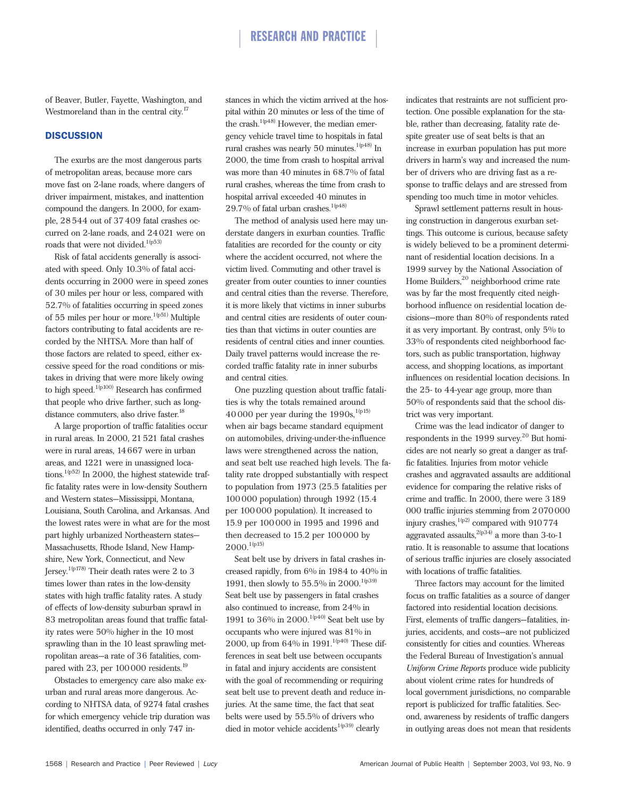of Beaver, Butler, Fayette, Washington, and Westmoreland than in the central city.<sup>17</sup>

## **DISCUSSION**

The exurbs are the most dangerous parts of metropolitan areas, because more cars move fast on 2-lane roads, where dangers of driver impairment, mistakes, and inattention compound the dangers. In 2000, for example, 28544 out of 37409 fatal crashes occurred on 2-lane roads, and 24021 were on roads that were not divided.<sup>1(p53)</sup>

Risk of fatal accidents generally is associated with speed. Only 10.3% of fatal accidents occurring in 2000 were in speed zones of 30 miles per hour or less, compared with 52.7% of fatalities occurring in speed zones of 55 miles per hour or more.<sup>1(p51)</sup> Multiple factors contributing to fatal accidents are recorded by the NHTSA. More than half of those factors are related to speed, either excessive speed for the road conditions or mistakes in driving that were more likely owing to high speed.<sup>1(p100)</sup> Research has confirmed that people who drive farther, such as longdistance commuters, also drive faster.<sup>18</sup>

A large proportion of traffic fatalities occur in rural areas. In 2000, 21521 fatal crashes were in rural areas, 14667 were in urban areas, and 1221 were in unassigned locations.<sup>1(p52)</sup> In 2000, the highest statewide traffic fatality rates were in low-density Southern and Western states—Mississippi, Montana, Louisiana, South Carolina, and Arkansas. And the lowest rates were in what are for the most part highly urbanized Northeastern states— Massachusetts, Rhode Island, New Hampshire, New York, Connecticut, and New Jersey.1(p178) Their death rates were 2 to 3 times lower than rates in the low-density states with high traffic fatality rates. A study of effects of low-density suburban sprawl in 83 metropolitan areas found that traffic fatality rates were 50% higher in the 10 most sprawling than in the 10 least sprawling metropolitan areas—a rate of 36 fatalities, compared with 23, per  $100000$  residents.<sup>19</sup>

Obstacles to emergency care also make exurban and rural areas more dangerous. According to NHTSA data, of 9274 fatal crashes for which emergency vehicle trip duration was identified, deaths occurred in only 747 instances in which the victim arrived at the hospital within 20 minutes or less of the time of the crash.<sup>1(p48)</sup> However, the median emergency vehicle travel time to hospitals in fatal rural crashes was nearly 50 minutes.<sup>1(p48)</sup> In 2000, the time from crash to hospital arrival was more than 40 minutes in 68.7% of fatal rural crashes, whereas the time from crash to hospital arrival exceeded 40 minutes in 29.7% of fatal urban crashes.<sup>1(p48)</sup>

The method of analysis used here may understate dangers in exurban counties. Traffic fatalities are recorded for the county or city where the accident occurred, not where the victim lived. Commuting and other travel is greater from outer counties to inner counties and central cities than the reverse. Therefore, it is more likely that victims in inner suburbs and central cities are residents of outer counties than that victims in outer counties are residents of central cities and inner counties. Daily travel patterns would increase the recorded traffic fatality rate in inner suburbs and central cities.

One puzzling question about traffic fatalities is why the totals remained around 40000 per year during the  $1990s$ ,  $^{1(p15)}$ when air bags became standard equipment on automobiles, driving-under-the-influence laws were strengthened across the nation, and seat belt use reached high levels. The fatality rate dropped substantially with respect to population from 1973 (25.5 fatalities per 100000 population) through 1992 (15.4 per 100000 population). It increased to 15.9 per 100000 in 1995 and 1996 and then decreased to 15.2 per 100 000 by  $2000.^{1(p15)}$ 

Seat belt use by drivers in fatal crashes increased rapidly, from 6% in 1984 to 40% in 1991, then slowly to 55.5% in 2000.<sup>1(p39)</sup> Seat belt use by passengers in fatal crashes also continued to increase, from 24% in 1991 to 36% in 2000.<sup>1(p40)</sup> Seat belt use by occupants who were injured was 81% in 2000, up from  $64\%$  in 1991.<sup>1(p40)</sup> These differences in seat belt use between occupants in fatal and injury accidents are consistent with the goal of recommending or requiring seat belt use to prevent death and reduce injuries. At the same time, the fact that seat belts were used by 55.5% of drivers who died in motor vehicle accidents  $^{\rm 1(p39)}$  clearly

indicates that restraints are not sufficient protection. One possible explanation for the stable, rather than decreasing, fatality rate despite greater use of seat belts is that an increase in exurban population has put more drivers in harm's way and increased the number of drivers who are driving fast as a response to traffic delays and are stressed from spending too much time in motor vehicles.

Sprawl settlement patterns result in housing construction in dangerous exurban settings. This outcome is curious, because safety is widely believed to be a prominent determinant of residential location decisions. In a 1999 survey by the National Association of Home Builders,<sup>20</sup> neighborhood crime rate was by far the most frequently cited neighborhood influence on residential location decisions—more than 80% of respondents rated it as very important. By contrast, only 5% to 33% of respondents cited neighborhood factors, such as public transportation, highway access, and shopping locations, as important influences on residential location decisions. In the 25- to 44-year age group, more than 50% of respondents said that the school district was very important.

Crime was the lead indicator of danger to respondents in the 1999 survey. $20$  But homicides are not nearly so great a danger as traffic fatalities. Injuries from motor vehicle crashes and aggravated assaults are additional evidence for comparing the relative risks of crime and traffic. In 2000, there were 3189 000 traffic injuries stemming from 2070000 injury crashes,  $1(p2)$  compared with 910774 aggravated assaults,  $^{2(p34)}$  a more than 3-to-1 ratio. It is reasonable to assume that locations of serious traffic injuries are closely associated with locations of traffic fatalities.

Three factors may account for the limited focus on traffic fatalities as a source of danger factored into residential location decisions. First, elements of traffic dangers—fatalities, injuries, accidents, and costs—are not publicized consistently for cities and counties. Whereas the Federal Bureau of Investigation's annual *Uniform Crime Reports* produce wide publicity about violent crime rates for hundreds of local government jurisdictions, no comparable report is publicized for traffic fatalities. Second, awareness by residents of traffic dangers in outlying areas does not mean that residents